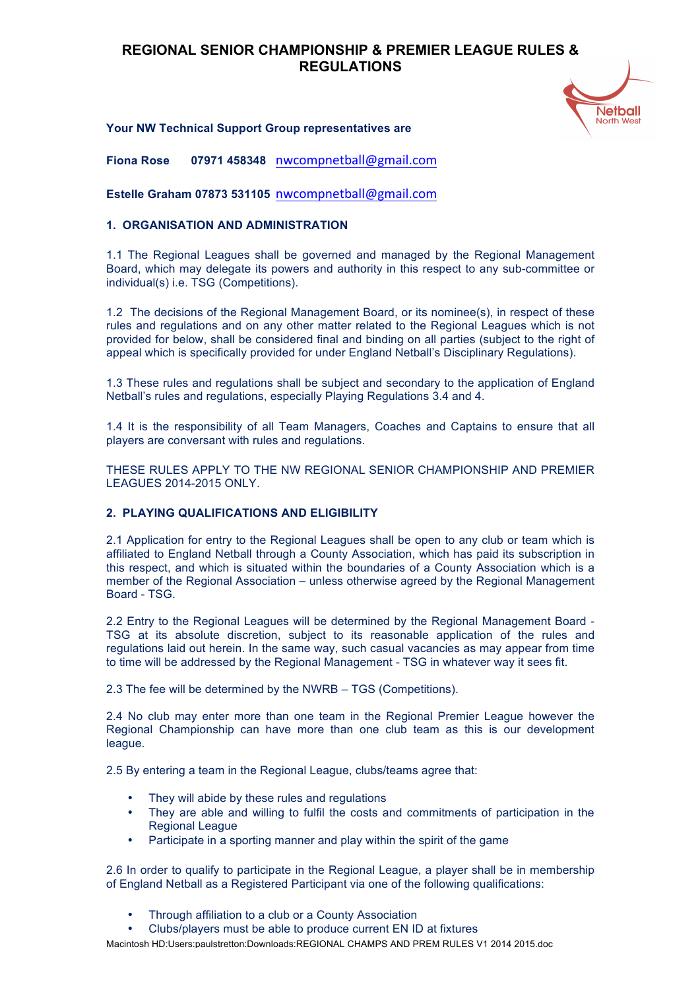

### **Your NW Technical Support Group representatives are**

**Fiona Rose 07971 458348** nwcompnetball@gmail.com

**Estelle Graham 07873 531105** nwcompnetball@gmail.com

### **1. ORGANISATION AND ADMINISTRATION**

1.1 The Regional Leagues shall be governed and managed by the Regional Management Board, which may delegate its powers and authority in this respect to any sub-committee or individual(s) i.e. TSG (Competitions).

1.2 The decisions of the Regional Management Board, or its nominee(s), in respect of these rules and regulations and on any other matter related to the Regional Leagues which is not provided for below, shall be considered final and binding on all parties (subject to the right of appeal which is specifically provided for under England Netball's Disciplinary Regulations).

1.3 These rules and regulations shall be subject and secondary to the application of England Netball's rules and regulations, especially Playing Regulations 3.4 and 4.

1.4 It is the responsibility of all Team Managers, Coaches and Captains to ensure that all players are conversant with rules and regulations.

THESE RULES APPLY TO THE NW REGIONAL SENIOR CHAMPIONSHIP AND PREMIER LEAGUES 2014-2015 ONLY.

## **2. PLAYING QUALIFICATIONS AND ELIGIBILITY**

2.1 Application for entry to the Regional Leagues shall be open to any club or team which is affiliated to England Netball through a County Association, which has paid its subscription in this respect, and which is situated within the boundaries of a County Association which is a member of the Regional Association – unless otherwise agreed by the Regional Management Board - TSG.

2.2 Entry to the Regional Leagues will be determined by the Regional Management Board - TSG at its absolute discretion, subject to its reasonable application of the rules and regulations laid out herein. In the same way, such casual vacancies as may appear from time to time will be addressed by the Regional Management - TSG in whatever way it sees fit.

2.3 The fee will be determined by the NWRB – TGS (Competitions).

2.4 No club may enter more than one team in the Regional Premier League however the Regional Championship can have more than one club team as this is our development league.

2.5 By entering a team in the Regional League, clubs/teams agree that:

- They will abide by these rules and regulations
- They are able and willing to fulfil the costs and commitments of participation in the Regional League
- Participate in a sporting manner and play within the spirit of the game

2.6 In order to qualify to participate in the Regional League, a player shall be in membership of England Netball as a Registered Participant via one of the following qualifications:

- Through affiliation to a club or a County Association
- Clubs/players must be able to produce current EN ID at fixtures

Macintosh HD:Users:paulstretton:Downloads:REGIONAL CHAMPS AND PREM RULES V1 2014 2015.doc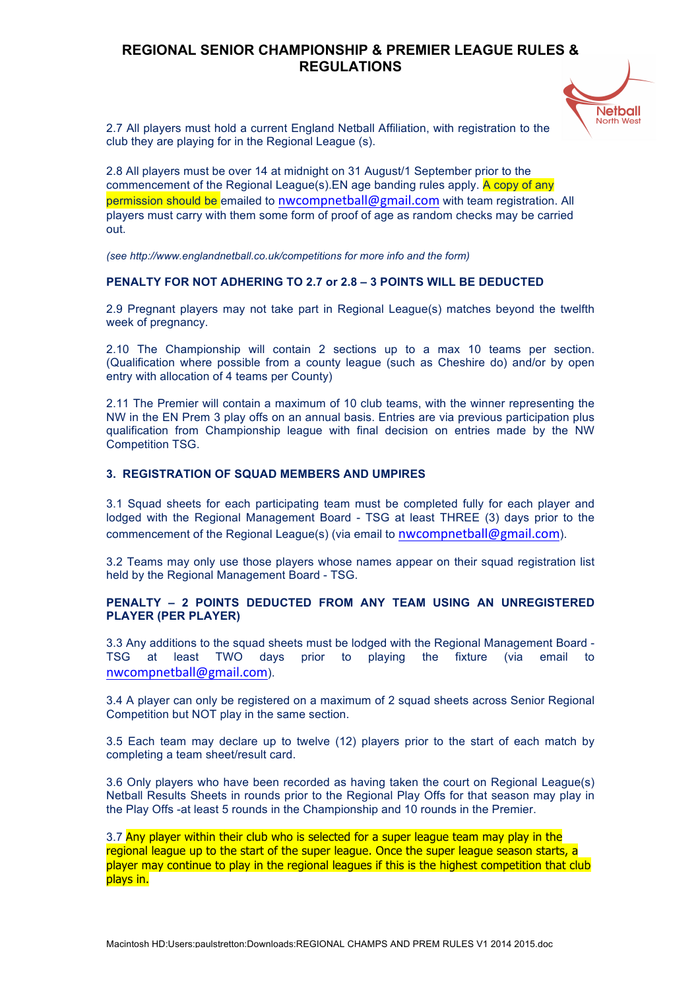

2.7 All players must hold a current England Netball Affiliation, with registration to the club they are playing for in the Regional League (s).

2.8 All players must be over 14 at midnight on 31 August/1 September prior to the commencement of the Regional League(s). EN age banding rules apply. A copy of any permission should be emailed to nwcompnetball@gmail.com with team registration. All players must carry with them some form of proof of age as random checks may be carried out.

*(see http://www.englandnetball.co.uk/competitions for more info and the form)*

### **PENALTY FOR NOT ADHERING TO 2.7 or 2.8 – 3 POINTS WILL BE DEDUCTED**

2.9 Pregnant players may not take part in Regional League(s) matches beyond the twelfth week of pregnancy.

2.10 The Championship will contain 2 sections up to a max 10 teams per section. (Qualification where possible from a county league (such as Cheshire do) and/or by open entry with allocation of 4 teams per County)

2.11 The Premier will contain a maximum of 10 club teams, with the winner representing the NW in the EN Prem 3 play offs on an annual basis. Entries are via previous participation plus qualification from Championship league with final decision on entries made by the NW Competition TSG.

### **3. REGISTRATION OF SQUAD MEMBERS AND UMPIRES**

3.1 Squad sheets for each participating team must be completed fully for each player and lodged with the Regional Management Board - TSG at least THREE (3) days prior to the commencement of the Regional League(s) (via email to nwcompnetball@gmail.com).

3.2 Teams may only use those players whose names appear on their squad registration list held by the Regional Management Board - TSG.

### **PENALTY – 2 POINTS DEDUCTED FROM ANY TEAM USING AN UNREGISTERED PLAYER (PER PLAYER)**

3.3 Any additions to the squad sheets must be lodged with the Regional Management Board - TSG at least TWO days prior to playing the fixture (via email to nwcompnetball@gmail.com).

3.4 A player can only be registered on a maximum of 2 squad sheets across Senior Regional Competition but NOT play in the same section.

3.5 Each team may declare up to twelve (12) players prior to the start of each match by completing a team sheet/result card.

3.6 Only players who have been recorded as having taken the court on Regional League(s) Netball Results Sheets in rounds prior to the Regional Play Offs for that season may play in the Play Offs -at least 5 rounds in the Championship and 10 rounds in the Premier.

3.7 Any player within their club who is selected for a super league team may play in the regional league up to the start of the super league. Once the super league season starts, a player may continue to play in the regional leagues if this is the highest competition that club plays in.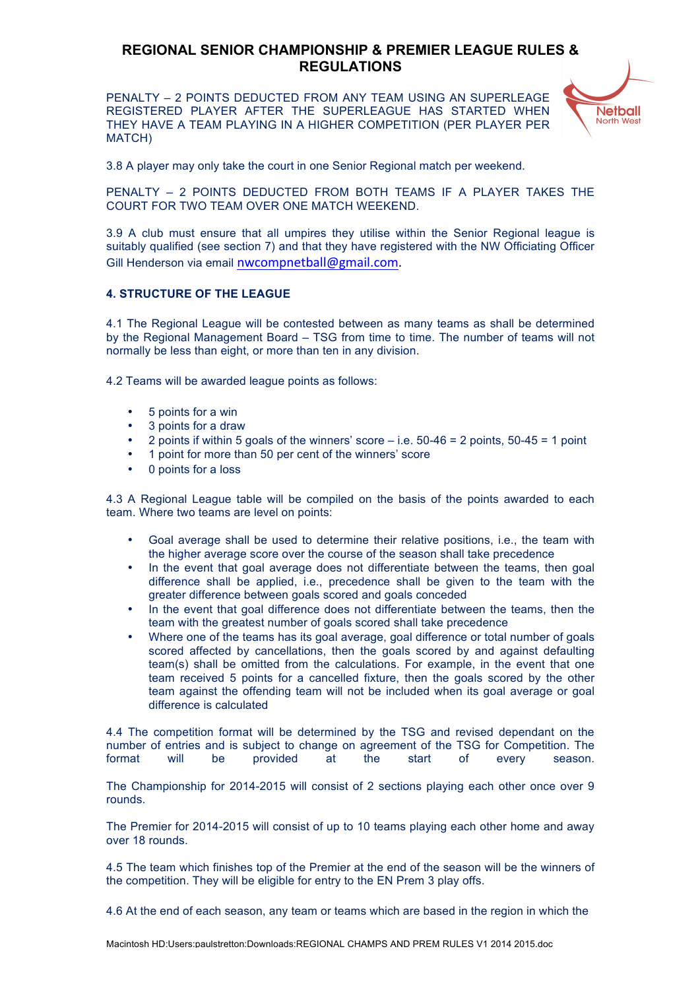PENALTY – 2 POINTS DEDUCTED FROM ANY TEAM USING AN SUPERLEAGE REGISTERED PLAYER AFTER THE SUPERLEAGUE HAS STARTED WHEN THEY HAVE A TEAM PLAYING IN A HIGHER COMPETITION (PER PLAYER PER MATCH)



3.8 A player may only take the court in one Senior Regional match per weekend.

PENALTY – 2 POINTS DEDUCTED FROM BOTH TEAMS IF A PLAYER TAKES THE COURT FOR TWO TEAM OVER ONE MATCH WEEKEND.

3.9 A club must ensure that all umpires they utilise within the Senior Regional league is suitably qualified (see section 7) and that they have registered with the NW Officiating Officer Gill Henderson via email nwcompnetball@gmail.com. 

### **4. STRUCTURE OF THE LEAGUE**

4.1 The Regional League will be contested between as many teams as shall be determined by the Regional Management Board – TSG from time to time. The number of teams will not normally be less than eight, or more than ten in any division.

4.2 Teams will be awarded league points as follows:

- 5 points for a win
- 3 points for a draw
- 2 points if within 5 goals of the winners' score  $-$  i.e. 50-46 = 2 points, 50-45 = 1 point
- 1 point for more than 50 per cent of the winners' score
- 0 points for a loss

4.3 A Regional League table will be compiled on the basis of the points awarded to each team. Where two teams are level on points:

- Goal average shall be used to determine their relative positions, i.e., the team with the higher average score over the course of the season shall take precedence
- In the event that goal average does not differentiate between the teams, then goal difference shall be applied, i.e., precedence shall be given to the team with the greater difference between goals scored and goals conceded
- In the event that goal difference does not differentiate between the teams, then the team with the greatest number of goals scored shall take precedence
- Where one of the teams has its goal average, goal difference or total number of goals scored affected by cancellations, then the goals scored by and against defaulting team(s) shall be omitted from the calculations. For example, in the event that one team received 5 points for a cancelled fixture, then the goals scored by the other team against the offending team will not be included when its goal average or goal difference is calculated

4.4 The competition format will be determined by the TSG and revised dependant on the number of entries and is subject to change on agreement of the TSG for Competition. The format will be provided at the start of every season.

The Championship for 2014-2015 will consist of 2 sections playing each other once over 9 rounds.

The Premier for 2014-2015 will consist of up to 10 teams playing each other home and away over 18 rounds.

4.5 The team which finishes top of the Premier at the end of the season will be the winners of the competition. They will be eligible for entry to the EN Prem 3 play offs.

4.6 At the end of each season, any team or teams which are based in the region in which the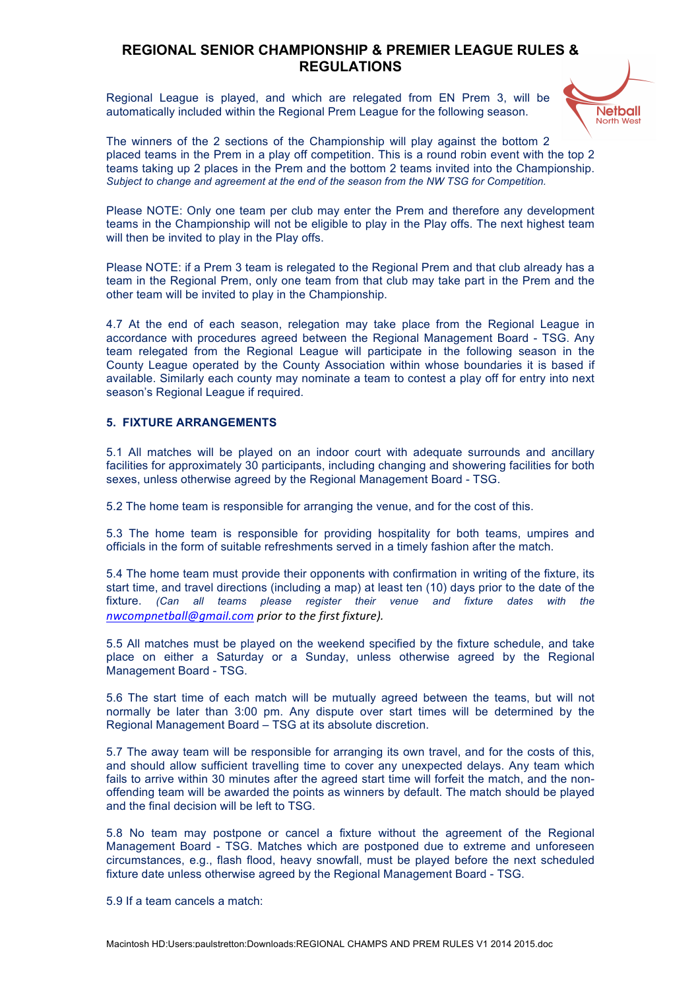Regional League is played, and which are relegated from EN Prem 3, will be automatically included within the Regional Prem League for the following season.



The winners of the 2 sections of the Championship will play against the bottom 2 placed teams in the Prem in a play off competition. This is a round robin event with the top 2 teams taking up 2 places in the Prem and the bottom 2 teams invited into the Championship. *Subject to change and agreement at the end of the season from the NW TSG for Competition.*

Please NOTE: Only one team per club may enter the Prem and therefore any development teams in the Championship will not be eligible to play in the Play offs. The next highest team will then be invited to play in the Play offs.

Please NOTE: if a Prem 3 team is relegated to the Regional Prem and that club already has a team in the Regional Prem, only one team from that club may take part in the Prem and the other team will be invited to play in the Championship.

4.7 At the end of each season, relegation may take place from the Regional League in accordance with procedures agreed between the Regional Management Board - TSG. Any team relegated from the Regional League will participate in the following season in the County League operated by the County Association within whose boundaries it is based if available. Similarly each county may nominate a team to contest a play off for entry into next season's Regional League if required.

#### **5. FIXTURE ARRANGEMENTS**

5.1 All matches will be played on an indoor court with adequate surrounds and ancillary facilities for approximately 30 participants, including changing and showering facilities for both sexes, unless otherwise agreed by the Regional Management Board - TSG.

5.2 The home team is responsible for arranging the venue, and for the cost of this.

5.3 The home team is responsible for providing hospitality for both teams, umpires and officials in the form of suitable refreshments served in a timely fashion after the match.

5.4 The home team must provide their opponents with confirmation in writing of the fixture, its start time, and travel directions (including a map) at least ten (10) days prior to the date of the fixture. *(Can all teams please register their venue and fixture dates with the nwcompnetball@gmail.com prior to the first fixture).* 

5.5 All matches must be played on the weekend specified by the fixture schedule, and take place on either a Saturday or a Sunday, unless otherwise agreed by the Regional Management Board - TSG.

5.6 The start time of each match will be mutually agreed between the teams, but will not normally be later than 3:00 pm. Any dispute over start times will be determined by the Regional Management Board – TSG at its absolute discretion.

5.7 The away team will be responsible for arranging its own travel, and for the costs of this, and should allow sufficient travelling time to cover any unexpected delays. Any team which fails to arrive within 30 minutes after the agreed start time will forfeit the match, and the nonoffending team will be awarded the points as winners by default. The match should be played and the final decision will be left to TSG.

5.8 No team may postpone or cancel a fixture without the agreement of the Regional Management Board - TSG. Matches which are postponed due to extreme and unforeseen circumstances, e.g., flash flood, heavy snowfall, must be played before the next scheduled fixture date unless otherwise agreed by the Regional Management Board - TSG.

5.9 If a team cancels a match: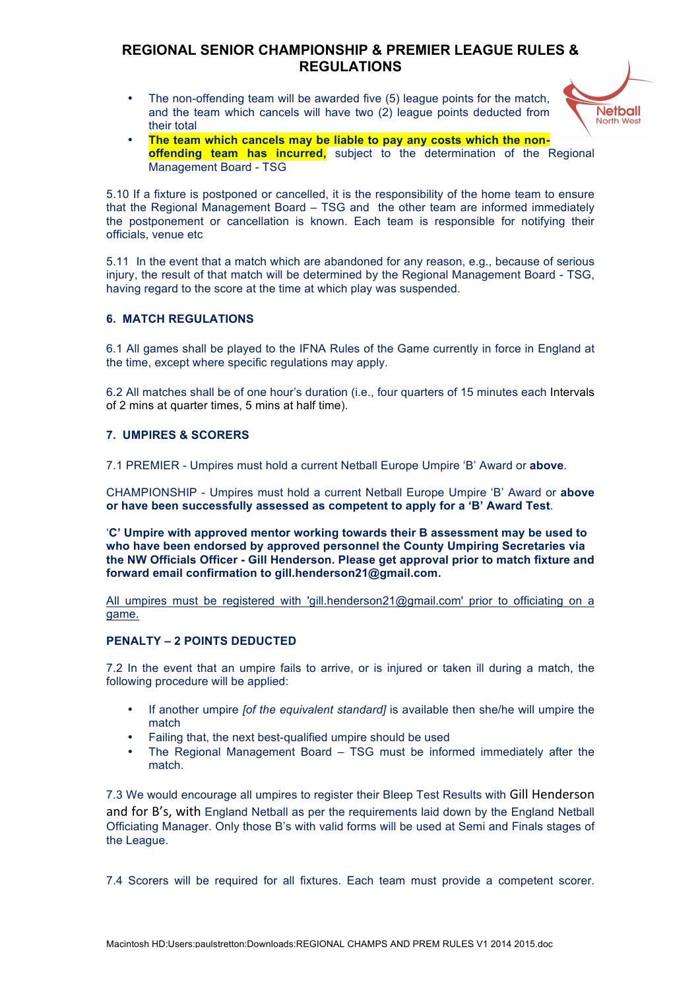• The non-offending team will be awarded five (5) league points for the match, and the team which cancels will have two (2) league points deducted from their total



• **The team which cancels may be liable to pay any costs which the nonoffending team has incurred,** subject to the determination of the Regional Management Board - TSG

5.10 If a fixture is postponed or cancelled, it is the responsibility of the home team to ensure that the Regional Management Board – TSG and the other team are informed immediately the postponement or cancellation is known. Each team is responsible for notifying their officials, venue etc

5.11 In the event that a match which are abandoned for any reason, e.g., because of serious injury, the result of that match will be determined by the Regional Management Board - TSG, having regard to the score at the time at which play was suspended.

## **6. MATCH REGULATIONS**

6.1 All games shall be played to the IFNA Rules of the Game currently in force in England at the time, except where specific regulations may apply.

6.2 All matches shall be of one hour's duration (i.e., four quarters of 15 minutes each Intervals of 2 mins at quarter times, 5 mins at half time).

#### **7. UMPIRES & SCORERS**

7.1 PREMIER - Umpires must hold a current Netball Europe Umpire 'B' Award or **above**.

CHAMPIONSHIP - Umpires must hold a current Netball Europe Umpire 'B' Award or **above or have been successfully assessed as competent to apply for a 'B' Award Test**.

'**C' Umpire with approved mentor working towards their B assessment may be used to who have been endorsed by approved personnel the County Umpiring Secretaries via the NW Officials Officer - Gill Henderson. Please get approval prior to match fixture and forward email confirmation to gill.henderson21@gmail.com.**

All umpires must be registered with 'gill.henderson21@gmail.com' prior to officiating on a game.

### **PENALTY – 2 POINTS DEDUCTED**

7.2 In the event that an umpire fails to arrive, or is injured or taken ill during a match, the following procedure will be applied:

- If another umpire *[of the equivalent standard]* is available then she/he will umpire the match
- Failing that, the next best-qualified umpire should be used
- The Regional Management Board TSG must be informed immediately after the match.

7.3 We would encourage all umpires to register their Bleep Test Results with Gill Henderson and for B's, with England Netball as per the requirements laid down by the England Netball Officiating Manager. Only those B's with valid forms will be used at Semi and Finals stages of the League.

7.4 Scorers will be required for all fixtures. Each team must provide a competent scorer.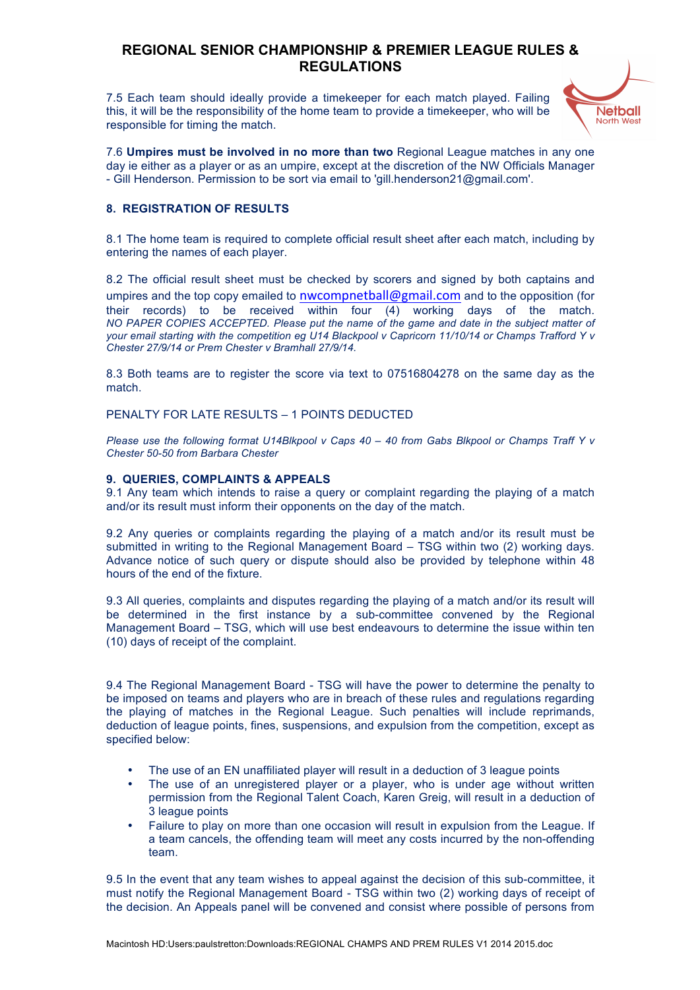7.5 Each team should ideally provide a timekeeper for each match played. Failing this, it will be the responsibility of the home team to provide a timekeeper, who will be responsible for timing the match.



7.6 **Umpires must be involved in no more than two** Regional League matches in any one day ie either as a player or as an umpire, except at the discretion of the NW Officials Manager - Gill Henderson. Permission to be sort via email to 'gill.henderson21@gmail.com'.

### **8. REGISTRATION OF RESULTS**

8.1 The home team is required to complete official result sheet after each match, including by entering the names of each player.

8.2 The official result sheet must be checked by scorers and signed by both captains and umpires and the top copy emailed to nwcompnetball@gmail.com and to the opposition (for their records) to be received within four (4) working days of the match. *NO PAPER COPIES ACCEPTED. Please put the name of the game and date in the subject matter of your email starting with the competition eg U14 Blackpool v Capricorn 11/10/14 or Champs Trafford Y v Chester 27/9/14 or Prem Chester v Bramhall 27/9/14.*

8.3 Both teams are to register the score via text to 07516804278 on the same day as the match.

PENALTY FOR LATE RESULTS – 1 POINTS DEDUCTED

*Please use the following format U14Blkpool v Caps 40 – 40 from Gabs Blkpool or Champs Traff Y v Chester 50-50 from Barbara Chester*

#### **9. QUERIES, COMPLAINTS & APPEALS**

9.1 Any team which intends to raise a query or complaint regarding the playing of a match and/or its result must inform their opponents on the day of the match.

9.2 Any queries or complaints regarding the playing of a match and/or its result must be submitted in writing to the Regional Management Board – TSG within two (2) working days. Advance notice of such query or dispute should also be provided by telephone within 48 hours of the end of the fixture.

9.3 All queries, complaints and disputes regarding the playing of a match and/or its result will be determined in the first instance by a sub-committee convened by the Regional Management Board – TSG, which will use best endeavours to determine the issue within ten (10) days of receipt of the complaint.

9.4 The Regional Management Board - TSG will have the power to determine the penalty to be imposed on teams and players who are in breach of these rules and regulations regarding the playing of matches in the Regional League. Such penalties will include reprimands, deduction of league points, fines, suspensions, and expulsion from the competition, except as specified below:

- The use of an EN unaffiliated player will result in a deduction of 3 league points
- The use of an unregistered player or a player, who is under age without written permission from the Regional Talent Coach, Karen Greig, will result in a deduction of 3 league points
- Failure to play on more than one occasion will result in expulsion from the League. If a team cancels, the offending team will meet any costs incurred by the non-offending team.

9.5 In the event that any team wishes to appeal against the decision of this sub-committee, it must notify the Regional Management Board - TSG within two (2) working days of receipt of the decision. An Appeals panel will be convened and consist where possible of persons from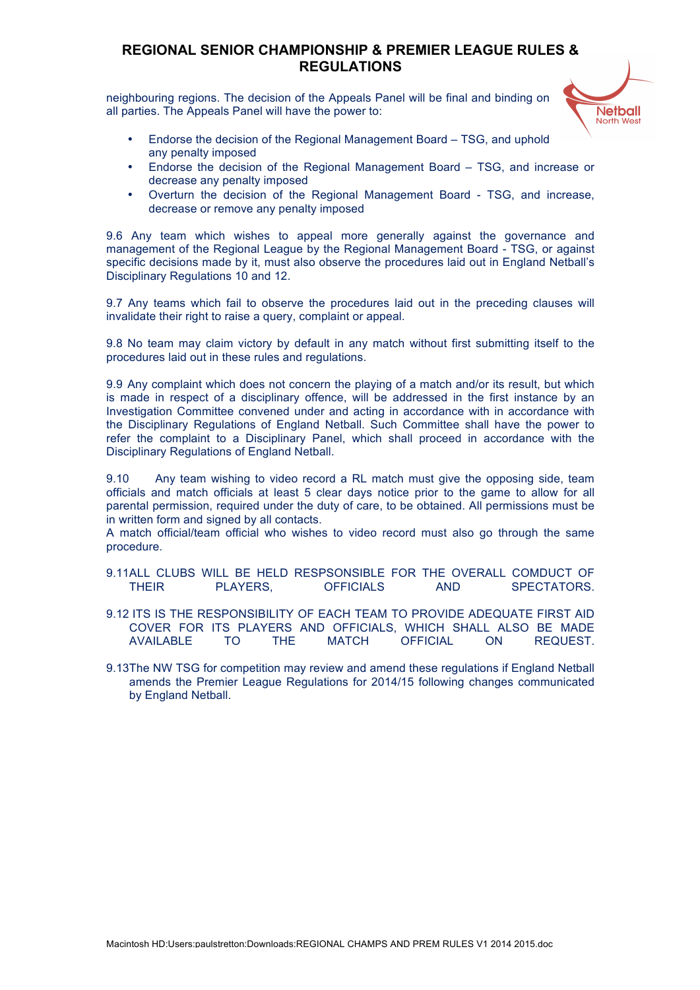neighbouring regions. The decision of the Appeals Panel will be final and binding on all parties. The Appeals Panel will have the power to:



- Endorse the decision of the Regional Management Board TSG, and uphold any penalty imposed
- Endorse the decision of the Regional Management Board TSG, and increase or decrease any penalty imposed
- Overturn the decision of the Regional Management Board TSG, and increase, decrease or remove any penalty imposed

9.6 Any team which wishes to appeal more generally against the governance and management of the Regional League by the Regional Management Board - TSG, or against specific decisions made by it, must also observe the procedures laid out in England Netball's Disciplinary Regulations 10 and 12.

9.7 Any teams which fail to observe the procedures laid out in the preceding clauses will invalidate their right to raise a query, complaint or appeal.

9.8 No team may claim victory by default in any match without first submitting itself to the procedures laid out in these rules and regulations.

9.9 Any complaint which does not concern the playing of a match and/or its result, but which is made in respect of a disciplinary offence, will be addressed in the first instance by an Investigation Committee convened under and acting in accordance with in accordance with the Disciplinary Regulations of England Netball. Such Committee shall have the power to refer the complaint to a Disciplinary Panel, which shall proceed in accordance with the Disciplinary Regulations of England Netball.

9.10 Any team wishing to video record a RL match must give the opposing side, team officials and match officials at least 5 clear days notice prior to the game to allow for all parental permission, required under the duty of care, to be obtained. All permissions must be in written form and signed by all contacts.

A match official/team official who wishes to video record must also go through the same procedure.

- 9.11ALL CLUBS WILL BE HELD RESPSONSIBLE FOR THE OVERALL COMDUCT OF THEIR PLAYERS, OFFICIALS AND SPECTATORS.
- 9.12 ITS IS THE RESPONSIBILITY OF EACH TEAM TO PROVIDE ADEQUATE FIRST AID COVER FOR ITS PLAYERS AND OFFICIALS, WHICH SHALL ALSO BE MADE AVAILABLE TO THE MATCH OFFICIAL ON REQUEST.
- 9.13The NW TSG for competition may review and amend these regulations if England Netball amends the Premier League Regulations for 2014/15 following changes communicated by England Netball.